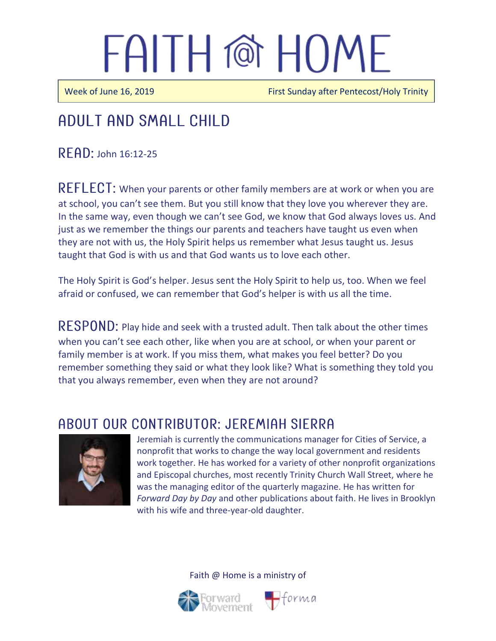Week of June 16, 2019 **First Sunday after Pentecost/Holy Trinity** 

### Adult and Small Child

 $R$   $F$  $R$  $D$ : John 16:12-25

REFLECT: When your parents or other family members are at work or when you are at school, you can't see them. But you still know that they love you wherever they are. In the same way, even though we can't see God, we know that God always loves us. And just as we remember the things our parents and teachers have taught us even when they are not with us, the Holy Spirit helps us remember what Jesus taught us. Jesus taught that God is with us and that God wants us to love each other.

The Holy Spirit is God's helper. Jesus sent the Holy Spirit to help us, too. When we feel afraid or confused, we can remember that God's helper is with us all the time.

RESPOND: Play hide and seek with a trusted adult. Then talk about the other times when you can't see each other, like when you are at school, or when your parent or family member is at work. If you miss them, what makes you feel better? Do you remember something they said or what they look like? What is something they told you that you always remember, even when they are not around?

#### ABOUT OUR CONTRIBUTOR: JEREMIAH SIERRA



Jeremiah is currently the communications manager for Cities of Service, a nonprofit that works to change the way local government and residents work together. He has worked for a variety of other nonprofit organizations and Episcopal churches, most recently Trinity Church Wall Street, where he was the managing editor of the quarterly magazine. He has written for *Forward Day by Day* and other publications about faith. He lives in Brooklyn with his wife and three-year-old daughter.

Faith @ Home is a ministry of



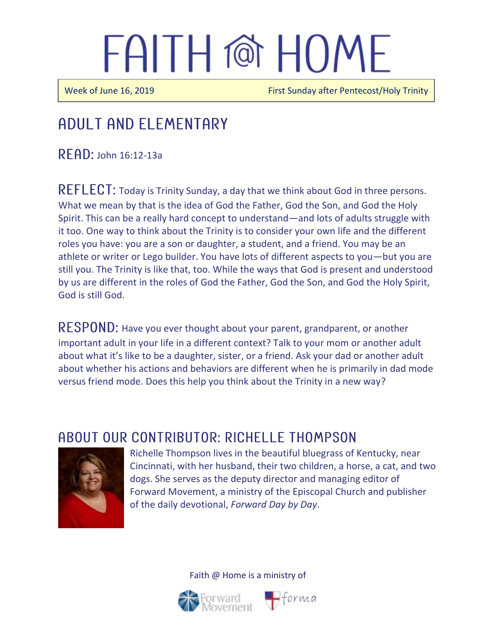$\overline{\phantom{a}}$ 

 $\overline{a}$ 

Week of June 16, 2019 **First Sunday after Pentecost/Holy Trinity** 

### Adult and elementary

 $READ:$  John 16:12-13a

 $REFLECT$ : Today is Trinity Sunday, a day that we think about God in three persons. What we mean by that is the idea of God the Father, God the Son, and God the Holy Spirit. This can be a really hard concept to understand—and lots of adults struggle with it too. One way to think about the Trinity is to consider your own life and the different roles you have: you are a son or daughter, a student, and a friend. You may be an athlete or writer or Lego builder. You have lots of different aspects to you—but you are still you. The Trinity is like that, too. While the ways that God is present and understood by us are different in the roles of God the Father, God the Son, and God the Holy Spirit, God is still God.

RESPOND: Have you ever thought about your parent, grandparent, or another important adult in your life in a different context? Talk to your mom or another adult about what it's like to be a daughter, sister, or a friend. Ask your dad or another adult about whether his actions and behaviors are different when he is primarily in dad mode versus friend mode. Does this help you think about the Trinity in a new way?

#### ABOUT OUR CONTRIBUTOR: RICHELLE THOMPSON



Richelle Thompson lives in the beautiful bluegrass of Kentucky, near Cincinnati, with her husband, their two children, a horse, a cat, and two dogs. She serves as the deputy director and managing editor of Forward Movement, a ministry of the Episcopal Church and publisher of the daily devotional, *Forward Day by Day*.

Faith @ Home is a ministry of



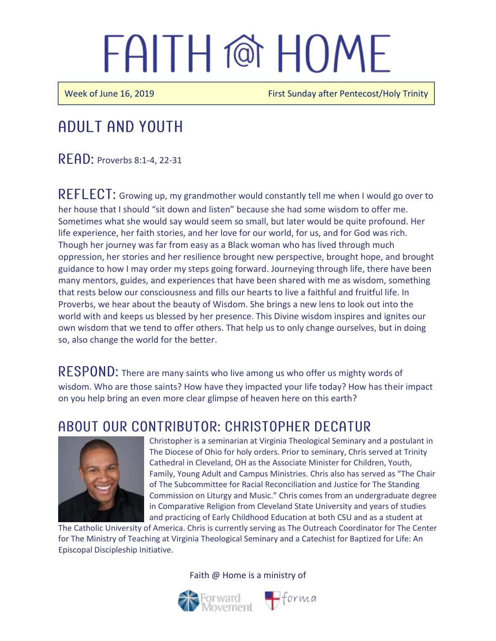Week of June 16, 2019 **First Sunday after Pentecost/Holy Trinity** 

### Adult and youth

**READ: Proverbs 8:1-4, 22-31** 

REFLECT: Growing up, my grandmother would constantly tell me when I would go over to her house that I should "sit down and listen" because she had some wisdom to offer me. Sometimes what she would say would seem so small, but later would be quite profound. Her life experience, her faith stories, and her love for our world, for us, and for God was rich. Though her journey was far from easy as a Black woman who has lived through much oppression, her stories and her resilience brought new perspective, brought hope, and brought guidance to how I may order my steps going forward. Journeying through life, there have been many mentors, guides, and experiences that have been shared with me as wisdom, something that rests below our consciousness and fills our hearts to live a faithful and fruitful life. In Proverbs, we hear about the beauty of Wisdom. She brings a new lens to look out into the world with and keeps us blessed by her presence. This Divine wisdom inspires and ignites our own wisdom that we tend to offer others. That help us to only change ourselves, but in doing so, also change the world for the better.

RESPOND: There are many saints who live among us who offer us mighty words of wisdom. Who are those saints? How have they impacted your life today? How has their impact on you help bring an even more clear glimpse of heaven here on this earth?

#### ABOUT OUR CONTRIBUTOR: CHRISTOPHER DECATUR



Christopher is a seminarian at Virginia Theological Seminary and a postulant in The Diocese of Ohio for holy orders. Prior to seminary, Chris served at Trinity Cathedral in Cleveland, OH as the Associate Minister for Children, Youth, Family, Young Adult and Campus Ministries. Chris also has served as "The Chair of The Subcommittee for Racial Reconciliation and Justice for The Standing Commission on Liturgy and Music." Chris comes from an undergraduate degree in Comparative Religion from Cleveland State University and years of studies and practicing of Early Childhood Education at both CSU and as a student at

The Catholic University of America. Chris is currently serving as The Outreach Coordinator for The Center for The Ministry of Teaching at Virginia Theological Seminary and a Catechist for Baptized for Life: An Episcopal Discipleship Initiative.

Faith @ Home is a ministry of